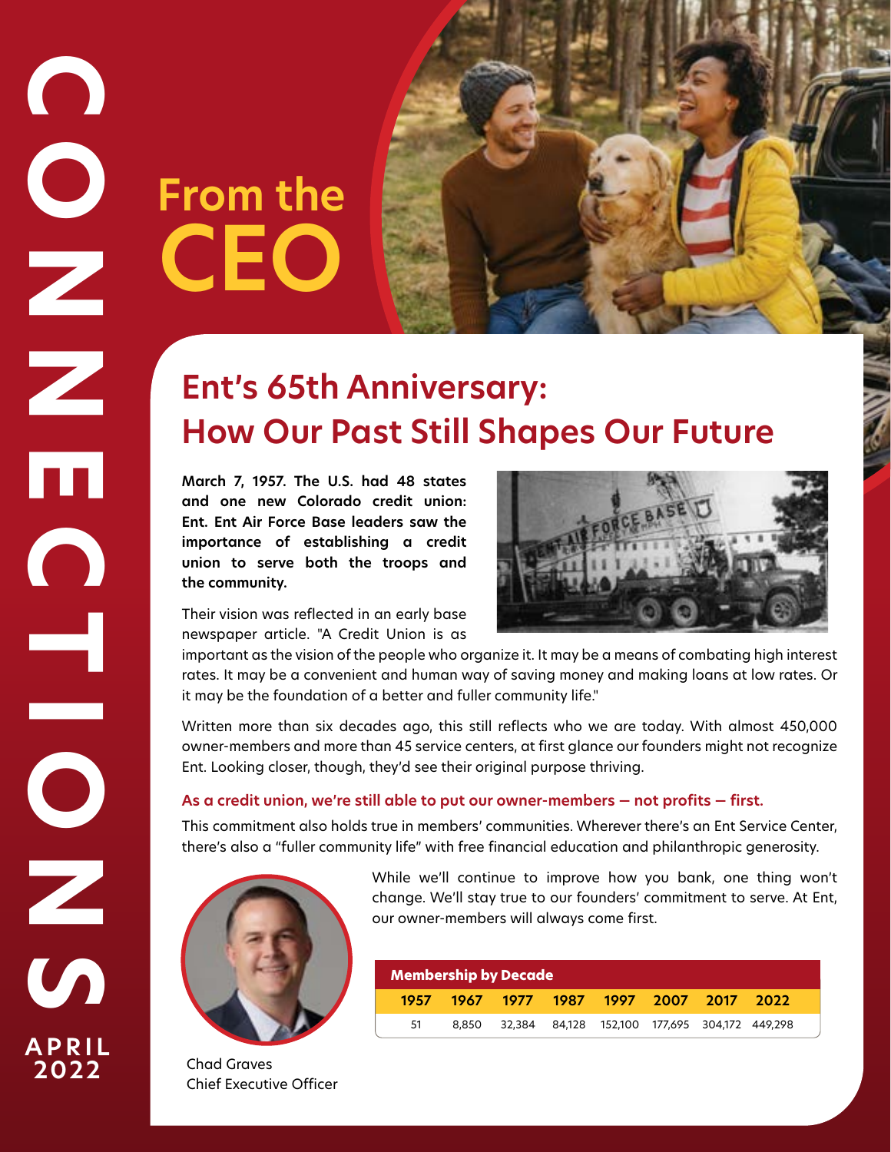# **From the CEO**

# **Ent's 65th Anniversary: How Our Past Still Shapes Our Future**

**March 7, 1957. The U.S. had 48 states and one new Colorado credit union: Ent. Ent Air Force Base leaders saw the importance of establishing a credit union to serve both the troops and the community.** 



Their vision was reflected in an early base newspaper article. "A Credit Union is as

important as the vision of the people who organize it. It may be a means of combating high interest rates. It may be a convenient and human way of saving money and making loans at low rates. Or it may be the foundation of a better and fuller community life."

Written more than six decades ago, this still reflects who we are today. With almost 450,000 owner-members and more than 45 service centers, at first glance our founders might not recognize Ent. Looking closer, though, they'd see their original purpose thriving.

# **As a credit union, we're still able to put our owner-members — not profits — first.**

This commitment also holds true in members' communities. Wherever there's an Ent Service Center, there's also a "fuller community life" with free financial education and philanthropic generosity.



Chad Graves Chief Executive Officer While we'll continue to improve how you bank, one thing won't change. We'll stay true to our founders' commitment to serve. At Ent, our owner-members will always come first.

| Membership by Decade |  |  |  |                                                     |  |  |  |  |
|----------------------|--|--|--|-----------------------------------------------------|--|--|--|--|
| 1957                 |  |  |  | 1967 1977 1987 1997 2007 2017 2022                  |  |  |  |  |
| 51                   |  |  |  | 8,850 32,384 84,128 152,100 177,695 304,172 449,298 |  |  |  |  |